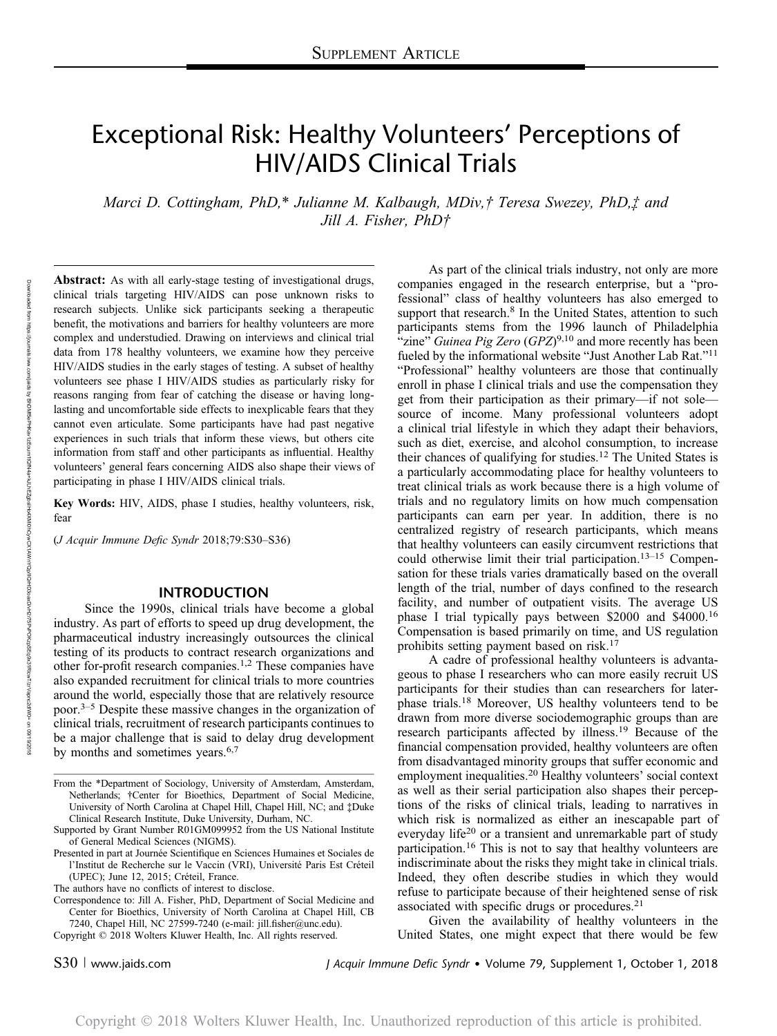# Exceptional Risk: Healthy Volunteers' Perceptions of HIV/AIDS Clinical Trials

Marci D. Cottingham, PhD,\* Julianne M. Kalbaugh, MDiv,† Teresa Swezey, PhD,‡ and Jill A. Fisher, PhD†

Abstract: As with all early-stage testing of investigational drugs, clinical trials targeting HIV/AIDS can pose unknown risks to research subjects. Unlike sick participants seeking a therapeutic benefit, the motivations and barriers for healthy volunteers are more complex and understudied. Drawing on interviews and clinical trial data from 178 healthy volunteers, we examine how they perceive HIV/AIDS studies in the early stages of testing. A subset of healthy volunteers see phase I HIV/AIDS studies as particularly risky for reasons ranging from fear of catching the disease or having longlasting and uncomfortable side effects to inexplicable fears that they cannot even articulate. Some participants have had past negative experiences in such trials that inform these views, but others cite information from staff and other participants as influential. Healthy volunteers' general fears concerning AIDS also shape their views of participating in phase I HIV/AIDS clinical trials.

Key Words: HIV, AIDS, phase I studies, healthy volunteers, risk, fear

(J Acquir Immune Defic Syndr 2018;79:S30–S36)

### INTRODUCTION

Since the 1990s, clinical trials have become a global industry. As part of efforts to speed up drug development, the pharmaceutical industry increasingly outsources the clinical testing of its products to contract research organizations and other for-profit research companies.1,2 These companies have also expanded recruitment for clinical trials to more countries around the world, especially those that are relatively resource poor.3–<sup>5</sup> Despite these massive changes in the organization of clinical trials, recruitment of research participants continues to be a major challenge that is said to delay drug development by months and sometimes years.<sup>6,7</sup>

The authors have no conflicts of interest to disclose.

Correspondence to: Jill A. Fisher, PhD, Department of Social Medicine and Center for Bioethics, University of North Carolina at Chapel Hill, CB 7240, Chapel Hill, NC 27599-7240 (e-mail: jill.fi[sher@unc.edu](mailto:jill.fisher@unc.edu)).

Copyright © 2018 Wolters Kluwer Health, Inc. All rights reserved.

companies engaged in the research enterprise, but a "professional" class of healthy volunteers has also emerged to support that research.<sup>8</sup> In the United States, attention to such participants stems from the 1996 launch of Philadelphia "zine" *Guinea Pig Zero*  $(GPZ)^{9,10}$  and more recently has been fueled by the informational website "Just Another Lab Rat."<sup>11</sup> "Professional" healthy volunteers are those that continually enroll in phase I clinical trials and use the compensation they get from their participation as their primary—if not sole source of income. Many professional volunteers adopt a clinical trial lifestyle in which they adapt their behaviors, such as diet, exercise, and alcohol consumption, to increase their chances of qualifying for studies.<sup>12</sup> The United States is a particularly accommodating place for healthy volunteers to treat clinical trials as work because there is a high volume of trials and no regulatory limits on how much compensation participants can earn per year. In addition, there is no centralized registry of research participants, which means that healthy volunteers can easily circumvent restrictions that could otherwise limit their trial participation.13–<sup>15</sup> Compensation for these trials varies dramatically based on the overall length of the trial, number of days confined to the research facility, and number of outpatient visits. The average US phase I trial typically pays between \$2000 and \$4000.<sup>16</sup> Compensation is based primarily on time, and US regulation prohibits setting payment based on risk.<sup>17</sup>

As part of the clinical trials industry, not only are more

A cadre of professional healthy volunteers is advantageous to phase I researchers who can more easily recruit US participants for their studies than can researchers for laterphase trials.<sup>18</sup> Moreover, US healthy volunteers tend to be drawn from more diverse sociodemographic groups than are research participants affected by illness.<sup>19</sup> Because of the financial compensation provided, healthy volunteers are often from disadvantaged minority groups that suffer economic and employment inequalities.<sup>20</sup> Healthy volunteers' social context as well as their serial participation also shapes their perceptions of the risks of clinical trials, leading to narratives in which risk is normalized as either an inescapable part of everyday life<sup>20</sup> or a transient and unremarkable part of study participation.<sup>16</sup> This is not to say that healthy volunteers are indiscriminate about the risks they might take in clinical trials. Indeed, they often describe studies in which they would refuse to participate because of their heightened sense of risk associated with specific drugs or procedures.<sup>21</sup>

Given the availability of healthy volunteers in the United States, one might expect that there would be few

S30 | www.jaids.com J Acquir Immune Defic Syndr • Volume 79, Supplement 1, October 1, 2018

From the \*Department of Sociology, University of Amsterdam, Amsterdam, Netherlands; †Center for Bioethics, Department of Social Medicine, University of North Carolina at Chapel Hill, Chapel Hill, NC; and ‡Duke Clinical Research Institute, Duke University, Durham, NC.

Supported by Grant Number R01GM099952 from the US National Institute of General Medical Sciences (NIGMS).

Presented in part at Journée Scientifique en Sciences Humaines et Sociales de l'Institut de Recherche sur le Vaccin (VRI), Université Paris Est Créteil (UPEC); June 12, 2015; Créteil, France.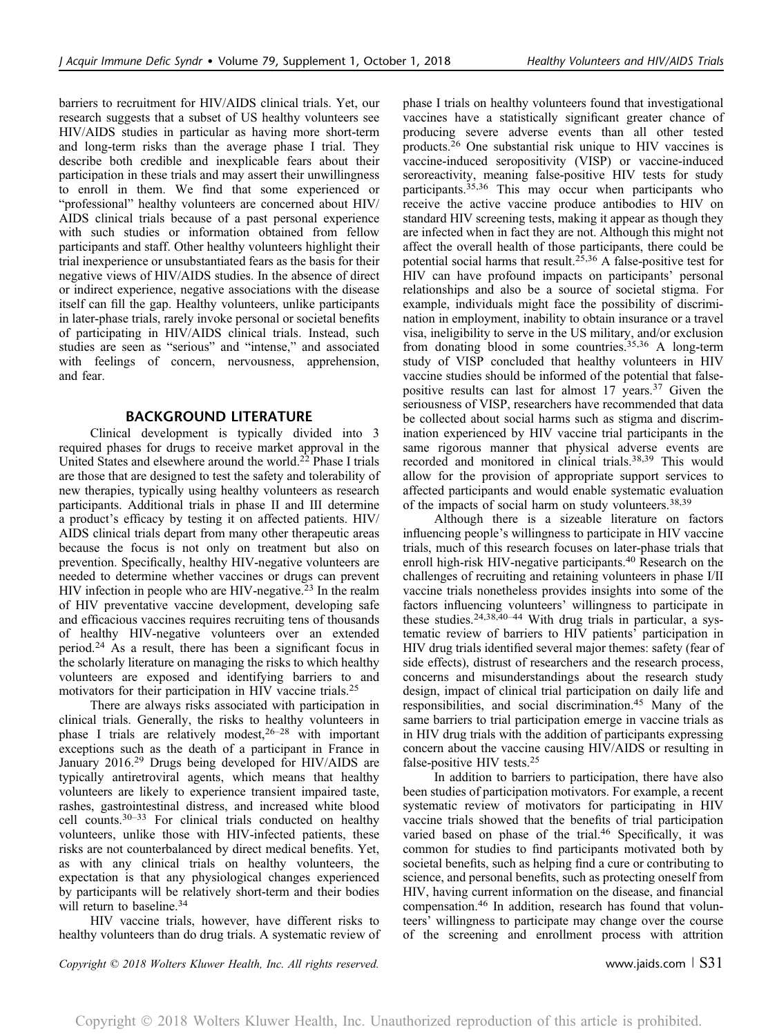barriers to recruitment for HIV/AIDS clinical trials. Yet, our research suggests that a subset of US healthy volunteers see HIV/AIDS studies in particular as having more short-term and long-term risks than the average phase I trial. They describe both credible and inexplicable fears about their participation in these trials and may assert their unwillingness to enroll in them. We find that some experienced or "professional" healthy volunteers are concerned about HIV/ AIDS clinical trials because of a past personal experience with such studies or information obtained from fellow participants and staff. Other healthy volunteers highlight their trial inexperience or unsubstantiated fears as the basis for their negative views of HIV/AIDS studies. In the absence of direct or indirect experience, negative associations with the disease itself can fill the gap. Healthy volunteers, unlike participants in later-phase trials, rarely invoke personal or societal benefits of participating in HIV/AIDS clinical trials. Instead, such studies are seen as "serious" and "intense," and associated with feelings of concern, nervousness, apprehension, and fear.

## BACKGROUND LITERATURE

Clinical development is typically divided into 3 required phases for drugs to receive market approval in the United States and elsewhere around the world.<sup>22</sup> Phase I trials are those that are designed to test the safety and tolerability of new therapies, typically using healthy volunteers as research participants. Additional trials in phase II and III determine a product's efficacy by testing it on affected patients. HIV/ AIDS clinical trials depart from many other therapeutic areas because the focus is not only on treatment but also on prevention. Specifically, healthy HIV-negative volunteers are needed to determine whether vaccines or drugs can prevent HIV infection in people who are HIV-negative.<sup>23</sup> In the realm of HIV preventative vaccine development, developing safe and efficacious vaccines requires recruiting tens of thousands of healthy HIV-negative volunteers over an extended period.<sup>24</sup> As a result, there has been a significant focus in the scholarly literature on managing the risks to which healthy volunteers are exposed and identifying barriers to and motivators for their participation in HIV vaccine trials.<sup>25</sup>

There are always risks associated with participation in clinical trials. Generally, the risks to healthy volunteers in phase I trials are relatively modest,26–<sup>28</sup> with important exceptions such as the death of a participant in France in January 2016.<sup>29</sup> Drugs being developed for HIV/AIDS are typically antiretroviral agents, which means that healthy volunteers are likely to experience transient impaired taste, rashes, gastrointestinal distress, and increased white blood cell counts.30–<sup>33</sup> For clinical trials conducted on healthy volunteers, unlike those with HIV-infected patients, these risks are not counterbalanced by direct medical benefits. Yet, as with any clinical trials on healthy volunteers, the expectation is that any physiological changes experienced by participants will be relatively short-term and their bodies will return to baseline.<sup>34</sup>

HIV vaccine trials, however, have different risks to healthy volunteers than do drug trials. A systematic review of phase I trials on healthy volunteers found that investigational vaccines have a statistically significant greater chance of producing severe adverse events than all other tested products.<sup>26</sup> One substantial risk unique to HIV vaccines is vaccine-induced seropositivity (VISP) or vaccine-induced seroreactivity, meaning false-positive HIV tests for study participants.<sup>35,36</sup> This may occur when participants who receive the active vaccine produce antibodies to HIV on standard HIV screening tests, making it appear as though they are infected when in fact they are not. Although this might not affect the overall health of those participants, there could be potential social harms that result.25,36 A false-positive test for HIV can have profound impacts on participants' personal relationships and also be a source of societal stigma. For example, individuals might face the possibility of discrimination in employment, inability to obtain insurance or a travel visa, ineligibility to serve in the US military, and/or exclusion from donating blood in some countries.35,36 A long-term study of VISP concluded that healthy volunteers in HIV vaccine studies should be informed of the potential that falsepositive results can last for almost 17 years.<sup>37</sup> Given the seriousness of VISP, researchers have recommended that data be collected about social harms such as stigma and discrimination experienced by HIV vaccine trial participants in the same rigorous manner that physical adverse events are recorded and monitored in clinical trials.<sup>38,39</sup> This would allow for the provision of appropriate support services to affected participants and would enable systematic evaluation of the impacts of social harm on study volunteers.38,39

Although there is a sizeable literature on factors influencing people's willingness to participate in HIV vaccine trials, much of this research focuses on later-phase trials that enroll high-risk HIV-negative participants.<sup>40</sup> Research on the challenges of recruiting and retaining volunteers in phase I/II vaccine trials nonetheless provides insights into some of the factors influencing volunteers' willingness to participate in these studies.<sup>24,38,40–44</sup> With drug trials in particular, a systematic review of barriers to HIV patients' participation in HIV drug trials identified several major themes: safety (fear of side effects), distrust of researchers and the research process, concerns and misunderstandings about the research study design, impact of clinical trial participation on daily life and responsibilities, and social discrimination.45 Many of the same barriers to trial participation emerge in vaccine trials as in HIV drug trials with the addition of participants expressing concern about the vaccine causing HIV/AIDS or resulting in false-positive HIV tests.<sup>25</sup>

In addition to barriers to participation, there have also been studies of participation motivators. For example, a recent systematic review of motivators for participating in HIV vaccine trials showed that the benefits of trial participation varied based on phase of the trial.<sup>46</sup> Specifically, it was common for studies to find participants motivated both by societal benefits, such as helping find a cure or contributing to science, and personal benefits, such as protecting oneself from HIV, having current information on the disease, and financial compensation.<sup>46</sup> In addition, research has found that volunteers' willingness to participate may change over the course of the screening and enrollment process with attrition

Copyright  $\odot$  2018 Wolters Kluwer Health, Inc. All rights reserved. www.jaids.com | S31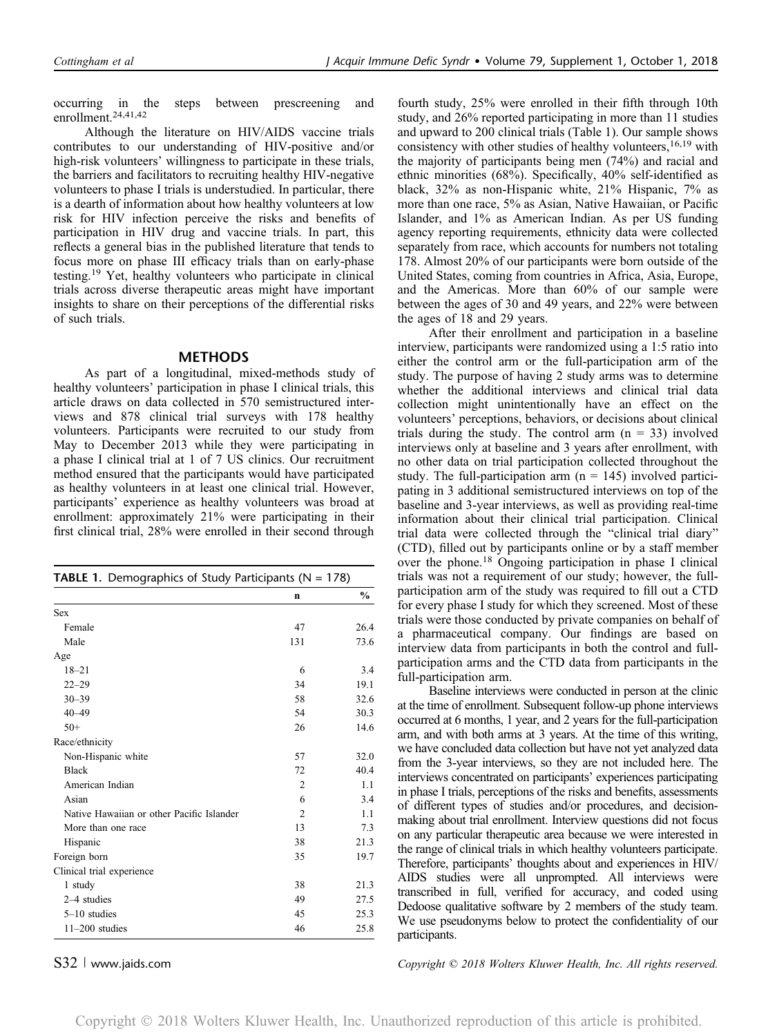occurring in the steps between prescreening and enrollment.<sup>24,41,42</sup>

Although the literature on HIV/AIDS vaccine trials contributes to our understanding of HIV-positive and/or high-risk volunteers' willingness to participate in these trials, the barriers and facilitators to recruiting healthy HIV-negative volunteers to phase I trials is understudied. In particular, there is a dearth of information about how healthy volunteers at low risk for HIV infection perceive the risks and benefits of participation in HIV drug and vaccine trials. In part, this reflects a general bias in the published literature that tends to focus more on phase III efficacy trials than on early-phase testing.<sup>19</sup> Yet, healthy volunteers who participate in clinical trials across diverse therapeutic areas might have important insights to share on their perceptions of the differential risks of such trials.

### METHODS

As part of a longitudinal, mixed-methods study of healthy volunteers' participation in phase I clinical trials, this article draws on data collected in 570 semistructured interviews and 878 clinical trial surveys with 178 healthy volunteers. Participants were recruited to our study from May to December 2013 while they were participating in a phase I clinical trial at 1 of 7 US clinics. Our recruitment method ensured that the participants would have participated as healthy volunteers in at least one clinical trial. However, participants' experience as healthy volunteers was broad at enrollment: approximately 21% were participating in their first clinical trial, 28% were enrolled in their second through

| <b>TABLE 1.</b> Demographics of Study Participants ( $N = 178$ ) |                |               |
|------------------------------------------------------------------|----------------|---------------|
|                                                                  | n              | $\frac{6}{6}$ |
| <b>Sex</b>                                                       |                |               |
| Female                                                           | 47             | 26.4          |
| Male                                                             | 131            | 73.6          |
| Age                                                              |                |               |
| $18 - 21$                                                        | 6              | 3.4           |
| $22 - 29$                                                        | 34             | 19.1          |
| $30 - 39$                                                        | 58             | 32.6          |
| $40 - 49$                                                        | 54             | 30.3          |
| $50+$                                                            | 26             | 14.6          |
| Race/ethnicity                                                   |                |               |
| Non-Hispanic white                                               | 57             | 32.0          |
| <b>Black</b>                                                     | 72             | 40.4          |
| American Indian                                                  | 2              | 1.1           |
| Asian                                                            | 6              | 3.4           |
| Native Hawaiian or other Pacific Islander                        | $\overline{c}$ | 1.1           |
| More than one race                                               | 13             | 7.3           |
| Hispanic                                                         | 38             | 21.3          |
| Foreign born                                                     | 35             | 19.7          |
| Clinical trial experience                                        |                |               |
| 1 study                                                          | 38             | 21.3          |
| $2-4$ studies                                                    | 49             | 27.5          |
| $5-10$ studies                                                   | 45             | 25.3          |
| $11-200$ studies                                                 | 46             | 25.8          |

fourth study, 25% were enrolled in their fifth through 10th study, and 26% reported participating in more than 11 studies and upward to 200 clinical trials (Table 1). Our sample shows consistency with other studies of healthy volunteers,  $16,19$  with the majority of participants being men (74%) and racial and ethnic minorities (68%). Specifically, 40% self-identified as black, 32% as non-Hispanic white, 21% Hispanic, 7% as more than one race, 5% as Asian, Native Hawaiian, or Pacific Islander, and 1% as American Indian. As per US funding agency reporting requirements, ethnicity data were collected separately from race, which accounts for numbers not totaling 178. Almost 20% of our participants were born outside of the United States, coming from countries in Africa, Asia, Europe, and the Americas. More than 60% of our sample were between the ages of 30 and 49 years, and 22% were between the ages of 18 and 29 years.

After their enrollment and participation in a baseline interview, participants were randomized using a 1:5 ratio into either the control arm or the full-participation arm of the study. The purpose of having 2 study arms was to determine whether the additional interviews and clinical trial data collection might unintentionally have an effect on the volunteers' perceptions, behaviors, or decisions about clinical trials during the study. The control arm  $(n = 33)$  involved interviews only at baseline and 3 years after enrollment, with no other data on trial participation collected throughout the study. The full-participation arm  $(n = 145)$  involved participating in 3 additional semistructured interviews on top of the baseline and 3-year interviews, as well as providing real-time information about their clinical trial participation. Clinical trial data were collected through the "clinical trial diary" (CTD), filled out by participants online or by a staff member over the phone.<sup>18</sup> Ongoing participation in phase I clinical trials was not a requirement of our study; however, the fullparticipation arm of the study was required to fill out a CTD for every phase I study for which they screened. Most of these trials were those conducted by private companies on behalf of a pharmaceutical company. Our findings are based on interview data from participants in both the control and fullparticipation arms and the CTD data from participants in the full-participation arm.

Baseline interviews were conducted in person at the clinic at the time of enrollment. Subsequent follow-up phone interviews occurred at 6 months, 1 year, and 2 years for the full-participation arm, and with both arms at 3 years. At the time of this writing, we have concluded data collection but have not yet analyzed data from the 3-year interviews, so they are not included here. The interviews concentrated on participants' experiences participating in phase I trials, perceptions of the risks and benefits, assessments of different types of studies and/or procedures, and decisionmaking about trial enrollment. Interview questions did not focus on any particular therapeutic area because we were interested in the range of clinical trials in which healthy volunteers participate. Therefore, participants' thoughts about and experiences in HIV/ AIDS studies were all unprompted. All interviews were transcribed in full, verified for accuracy, and coded using Dedoose qualitative software by 2 members of the study team. We use pseudonyms below to protect the confidentiality of our participants.

S32 <sup>|</sup> www.jaids.com Copyright © 2018 Wolters Kluwer Health, Inc. All rights reserved.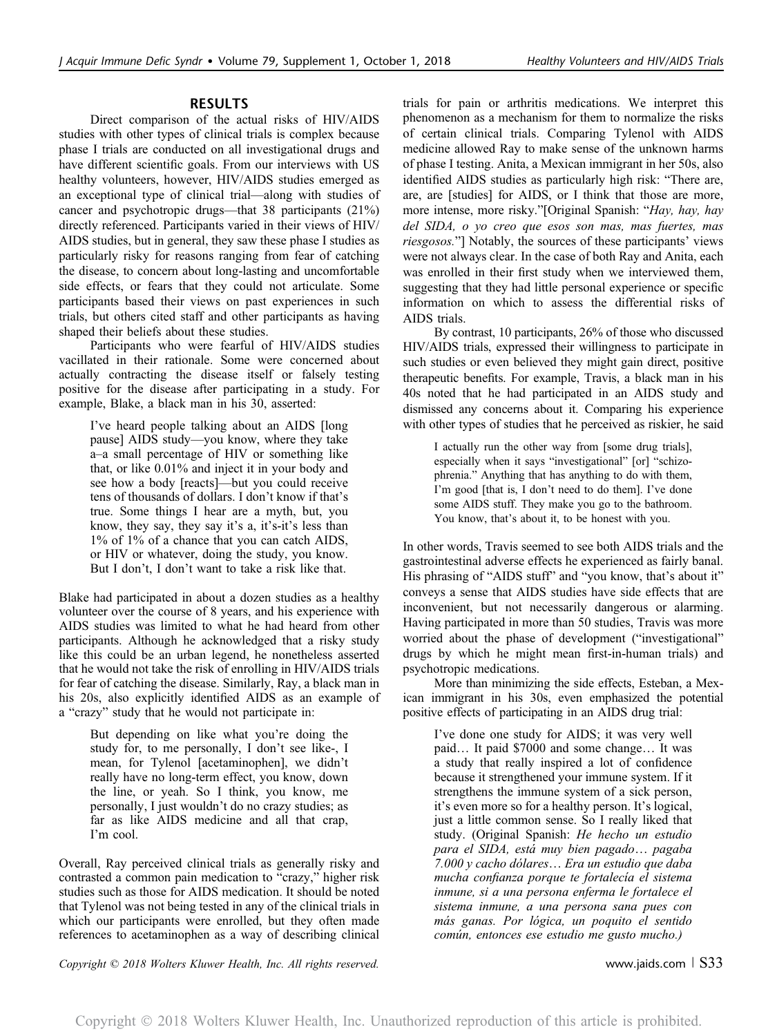### RESULTS

Direct comparison of the actual risks of HIV/AIDS studies with other types of clinical trials is complex because phase I trials are conducted on all investigational drugs and have different scientific goals. From our interviews with US healthy volunteers, however, HIV/AIDS studies emerged as an exceptional type of clinical trial—along with studies of cancer and psychotropic drugs—that 38 participants (21%) directly referenced. Participants varied in their views of HIV/ AIDS studies, but in general, they saw these phase I studies as particularly risky for reasons ranging from fear of catching the disease, to concern about long-lasting and uncomfortable side effects, or fears that they could not articulate. Some participants based their views on past experiences in such trials, but others cited staff and other participants as having shaped their beliefs about these studies.

Participants who were fearful of HIV/AIDS studies vacillated in their rationale. Some were concerned about actually contracting the disease itself or falsely testing positive for the disease after participating in a study. For example, Blake, a black man in his 30, asserted:

I've heard people talking about an AIDS [long pause] AIDS study—you know, where they take a–a small percentage of HIV or something like that, or like 0.01% and inject it in your body and see how a body [reacts]—but you could receive tens of thousands of dollars. I don't know if that's true. Some things I hear are a myth, but, you know, they say, they say it's a, it's-it's less than 1% of 1% of a chance that you can catch AIDS, or HIV or whatever, doing the study, you know. But I don't, I don't want to take a risk like that.

Blake had participated in about a dozen studies as a healthy volunteer over the course of 8 years, and his experience with AIDS studies was limited to what he had heard from other participants. Although he acknowledged that a risky study like this could be an urban legend, he nonetheless asserted that he would not take the risk of enrolling in HIV/AIDS trials for fear of catching the disease. Similarly, Ray, a black man in his 20s, also explicitly identified AIDS as an example of a "crazy" study that he would not participate in:

But depending on like what you're doing the study for, to me personally, I don't see like-, I mean, for Tylenol [acetaminophen], we didn't really have no long-term effect, you know, down the line, or yeah. So I think, you know, me personally, I just wouldn't do no crazy studies; as far as like AIDS medicine and all that crap, I'm cool.

Overall, Ray perceived clinical trials as generally risky and contrasted a common pain medication to "crazy," higher risk studies such as those for AIDS medication. It should be noted that Tylenol was not being tested in any of the clinical trials in which our participants were enrolled, but they often made references to acetaminophen as a way of describing clinical trials for pain or arthritis medications. We interpret this phenomenon as a mechanism for them to normalize the risks of certain clinical trials. Comparing Tylenol with AIDS medicine allowed Ray to make sense of the unknown harms of phase I testing. Anita, a Mexican immigrant in her 50s, also identified AIDS studies as particularly high risk: "There are, are, are [studies] for AIDS, or I think that those are more, more intense, more risky."[Original Spanish: "Hay, hay, hay del SIDA, o yo creo que esos son mas, mas fuertes, mas riesgosos."] Notably, the sources of these participants' views were not always clear. In the case of both Ray and Anita, each was enrolled in their first study when we interviewed them, suggesting that they had little personal experience or specific information on which to assess the differential risks of AIDS trials.

By contrast, 10 participants, 26% of those who discussed HIV/AIDS trials, expressed their willingness to participate in such studies or even believed they might gain direct, positive therapeutic benefits. For example, Travis, a black man in his 40s noted that he had participated in an AIDS study and dismissed any concerns about it. Comparing his experience with other types of studies that he perceived as riskier, he said

I actually run the other way from [some drug trials], especially when it says "investigational" [or] "schizophrenia." Anything that has anything to do with them, I'm good [that is, I don't need to do them]. I've done some AIDS stuff. They make you go to the bathroom. You know, that's about it, to be honest with you.

In other words, Travis seemed to see both AIDS trials and the gastrointestinal adverse effects he experienced as fairly banal. His phrasing of "AIDS stuff" and "you know, that's about it" conveys a sense that AIDS studies have side effects that are inconvenient, but not necessarily dangerous or alarming. Having participated in more than 50 studies, Travis was more worried about the phase of development ("investigational" drugs by which he might mean first-in-human trials) and psychotropic medications.

More than minimizing the side effects, Esteban, a Mexican immigrant in his 30s, even emphasized the potential positive effects of participating in an AIDS drug trial:

I've done one study for AIDS; it was very well paid. It paid \$7000 and some change. It was a study that really inspired a lot of confidence because it strengthened your immune system. If it strengthens the immune system of a sick person, it's even more so for a healthy person. It's logical, just a little common sense. So I really liked that study. (Original Spanish: He hecho un estudio para el SIDA, está muy bien pagado... pagaba 7.000 y cacho dólares. Era un estudio que daba mucha confianza porque te fortalecía el sistema inmune, si a una persona enferma le fortalece el sistema inmune, a una persona sana pues con más ganas. Por lógica, un poquito el sentido común, entonces ese estudio me gusto mucho.)

Copyright  $\heartsuit$  2018 Wolters Kluwer Health, Inc. All rights reserved. www.jaids.com | S33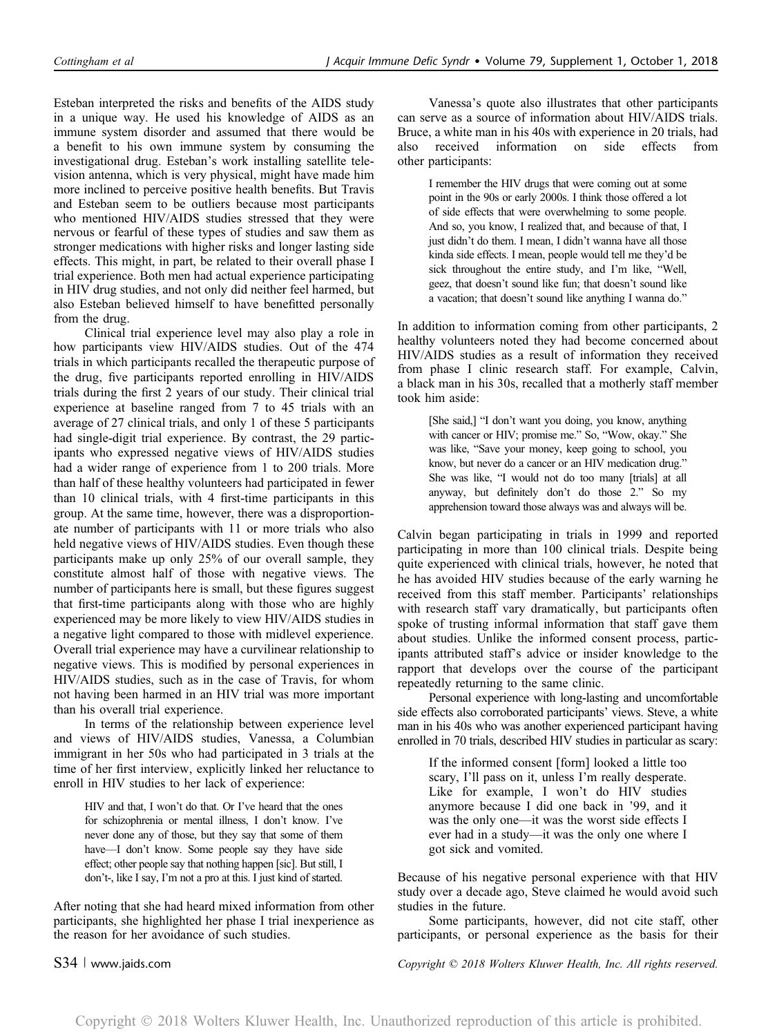Esteban interpreted the risks and benefits of the AIDS study in a unique way. He used his knowledge of AIDS as an immune system disorder and assumed that there would be a benefit to his own immune system by consuming the investigational drug. Esteban's work installing satellite television antenna, which is very physical, might have made him more inclined to perceive positive health benefits. But Travis and Esteban seem to be outliers because most participants who mentioned HIV/AIDS studies stressed that they were nervous or fearful of these types of studies and saw them as stronger medications with higher risks and longer lasting side effects. This might, in part, be related to their overall phase I trial experience. Both men had actual experience participating in HIV drug studies, and not only did neither feel harmed, but also Esteban believed himself to have benefitted personally from the drug.

Clinical trial experience level may also play a role in how participants view HIV/AIDS studies. Out of the 474 trials in which participants recalled the therapeutic purpose of the drug, five participants reported enrolling in HIV/AIDS trials during the first 2 years of our study. Their clinical trial experience at baseline ranged from 7 to 45 trials with an average of 27 clinical trials, and only 1 of these 5 participants had single-digit trial experience. By contrast, the 29 participants who expressed negative views of HIV/AIDS studies had a wider range of experience from 1 to 200 trials. More than half of these healthy volunteers had participated in fewer than 10 clinical trials, with 4 first-time participants in this group. At the same time, however, there was a disproportionate number of participants with 11 or more trials who also held negative views of HIV/AIDS studies. Even though these participants make up only 25% of our overall sample, they constitute almost half of those with negative views. The number of participants here is small, but these figures suggest that first-time participants along with those who are highly experienced may be more likely to view HIV/AIDS studies in a negative light compared to those with midlevel experience. Overall trial experience may have a curvilinear relationship to negative views. This is modified by personal experiences in HIV/AIDS studies, such as in the case of Travis, for whom not having been harmed in an HIV trial was more important than his overall trial experience.

In terms of the relationship between experience level and views of HIV/AIDS studies, Vanessa, a Columbian immigrant in her 50s who had participated in 3 trials at the time of her first interview, explicitly linked her reluctance to enroll in HIV studies to her lack of experience:

HIV and that, I won't do that. Or I've heard that the ones for schizophrenia or mental illness, I don't know. I've never done any of those, but they say that some of them have—I don't know. Some people say they have side effect; other people say that nothing happen [sic]. But still, I don't-, like I say, I'm not a pro at this. I just kind of started.

After noting that she had heard mixed information from other participants, she highlighted her phase I trial inexperience as the reason for her avoidance of such studies.

Vanessa's quote also illustrates that other participants can serve as a source of information about HIV/AIDS trials. Bruce, a white man in his 40s with experience in 20 trials, had<br>also received information on side effects from also received information on side other participants:

I remember the HIV drugs that were coming out at some point in the 90s or early 2000s. I think those offered a lot of side effects that were overwhelming to some people. And so, you know, I realized that, and because of that, I just didn't do them. I mean, I didn't wanna have all those kinda side effects. I mean, people would tell me they'd be sick throughout the entire study, and I'm like, "Well, geez, that doesn't sound like fun; that doesn't sound like a vacation; that doesn't sound like anything I wanna do."

In addition to information coming from other participants, 2 healthy volunteers noted they had become concerned about HIV/AIDS studies as a result of information they received from phase I clinic research staff. For example, Calvin, a black man in his 30s, recalled that a motherly staff member took him aside:

[She said,] "I don't want you doing, you know, anything with cancer or HIV; promise me." So, "Wow, okay." She was like, "Save your money, keep going to school, you know, but never do a cancer or an HIV medication drug." She was like, "I would not do too many [trials] at all anyway, but definitely don't do those 2." So my apprehension toward those always was and always will be.

Calvin began participating in trials in 1999 and reported participating in more than 100 clinical trials. Despite being quite experienced with clinical trials, however, he noted that he has avoided HIV studies because of the early warning he received from this staff member. Participants' relationships with research staff vary dramatically, but participants often spoke of trusting informal information that staff gave them about studies. Unlike the informed consent process, participants attributed staff's advice or insider knowledge to the rapport that develops over the course of the participant repeatedly returning to the same clinic.

Personal experience with long-lasting and uncomfortable side effects also corroborated participants' views. Steve, a white man in his 40s who was another experienced participant having enrolled in 70 trials, described HIV studies in particular as scary:

If the informed consent [form] looked a little too scary, I'll pass on it, unless I'm really desperate. Like for example, I won't do HIV studies anymore because I did one back in '99, and it was the only one—it was the worst side effects I ever had in a study—it was the only one where I got sick and vomited.

Because of his negative personal experience with that HIV study over a decade ago, Steve claimed he would avoid such studies in the future.

Some participants, however, did not cite staff, other participants, or personal experience as the basis for their

S34 <sup>|</sup> www.jaids.com Copyright © 2018 Wolters Kluwer Health, Inc. All rights reserved.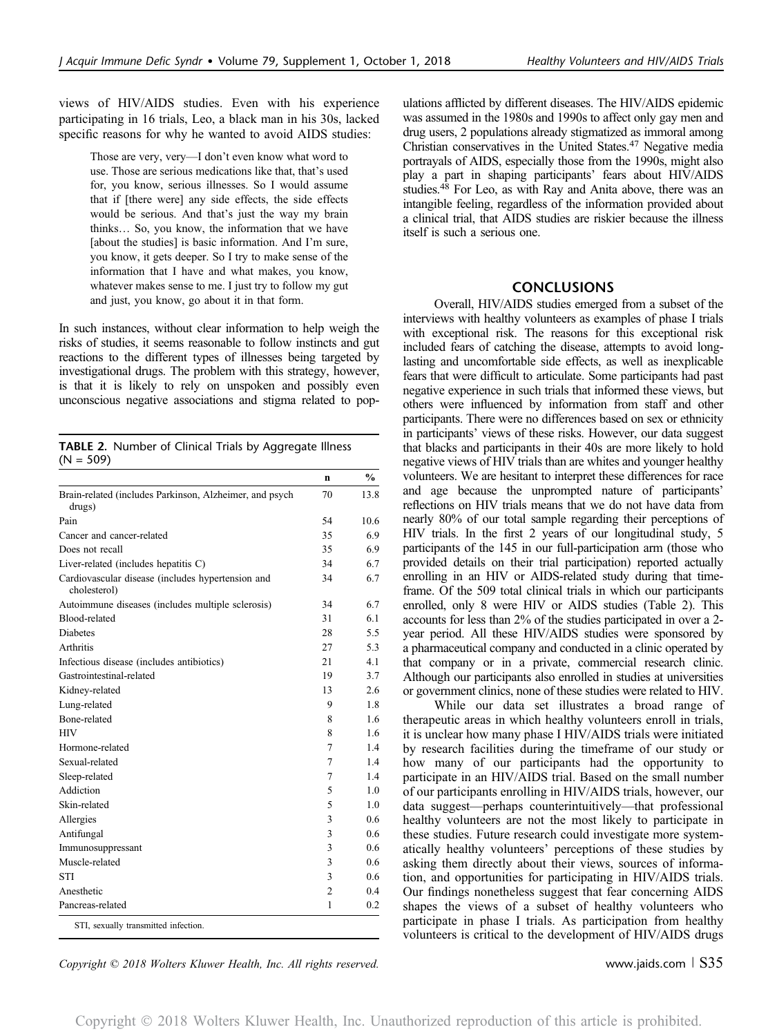views of HIV/AIDS studies. Even with his experience participating in 16 trials, Leo, a black man in his 30s, lacked specific reasons for why he wanted to avoid AIDS studies:

Those are very, very—I don't even know what word to use. Those are serious medications like that, that's used for, you know, serious illnesses. So I would assume that if [there were] any side effects, the side effects would be serious. And that's just the way my brain thinks... So, you know, the information that we have [about the studies] is basic information. And I'm sure, you know, it gets deeper. So I try to make sense of the information that I have and what makes, you know, whatever makes sense to me. I just try to follow my gut and just, you know, go about it in that form.

In such instances, without clear information to help weigh the risks of studies, it seems reasonable to follow instincts and gut reactions to the different types of illnesses being targeted by investigational drugs. The problem with this strategy, however, is that it is likely to rely on unspoken and possibly even unconscious negative associations and stigma related to pop-

TABLE 2. Number of Clinical Trials by Aggregate Illness (N = 509)

|                                                                   | n              | $\frac{0}{0}$ |
|-------------------------------------------------------------------|----------------|---------------|
| Brain-related (includes Parkinson, Alzheimer, and psych<br>drugs) | 70             | 13.8          |
| Pain                                                              | 54             | 10.6          |
| Cancer and cancer-related                                         | 35             | 69            |
| Does not recall                                                   | 35             | 6.9           |
| Liver-related (includes hepatitis C)                              | 34             | 6.7           |
| Cardiovascular disease (includes hypertension and<br>cholesterol) | 34             | 6.7           |
| Autoimmune diseases (includes multiple sclerosis)                 | 34             | 6.7           |
| Blood-related                                                     | 31             | 6.1           |
| <b>Diabetes</b>                                                   | 28             | 5.5           |
| Arthritis                                                         | 27             | 5.3           |
| Infectious disease (includes antibiotics)                         | 21             | 4.1           |
| Gastrointestinal-related                                          | 19             | 3.7           |
| Kidney-related                                                    | 13             | 2.6           |
| Lung-related                                                      | 9              | 1.8           |
| Bone-related                                                      | 8              | 1.6           |
| <b>HIV</b>                                                        | 8              | 1.6           |
| Hormone-related                                                   | 7              | 1.4           |
| Sexual-related                                                    | 7              | 1.4           |
| Sleep-related                                                     | 7              | 1.4           |
| Addiction                                                         | 5              | 1.0           |
| Skin-related                                                      | 5              | 1.0           |
| Allergies                                                         | 3              | 0.6           |
| Antifungal                                                        | 3              | 0.6           |
| Immunosuppressant                                                 | 3              | 0.6           |
| Muscle-related                                                    | 3              | 0.6           |
| <b>STI</b>                                                        | 3              | 0.6           |
| Anesthetic                                                        | $\overline{c}$ | 0.4           |
| Pancreas-related                                                  | $\mathbf{1}$   | 0.2           |
| STI, sexually transmitted infection.                              |                |               |

ulations afflicted by different diseases. The HIV/AIDS epidemic was assumed in the 1980s and 1990s to affect only gay men and drug users, 2 populations already stigmatized as immoral among Christian conservatives in the United States.47 Negative media portrayals of AIDS, especially those from the 1990s, might also play a part in shaping participants' fears about HIV/AIDS studies.48 For Leo, as with Ray and Anita above, there was an intangible feeling, regardless of the information provided about a clinical trial, that AIDS studies are riskier because the illness itself is such a serious one.

## CONCLUSIONS

Overall, HIV/AIDS studies emerged from a subset of the interviews with healthy volunteers as examples of phase I trials with exceptional risk. The reasons for this exceptional risk included fears of catching the disease, attempts to avoid longlasting and uncomfortable side effects, as well as inexplicable fears that were difficult to articulate. Some participants had past negative experience in such trials that informed these views, but others were influenced by information from staff and other participants. There were no differences based on sex or ethnicity in participants' views of these risks. However, our data suggest that blacks and participants in their 40s are more likely to hold negative views of HIV trials than are whites and younger healthy volunteers. We are hesitant to interpret these differences for race and age because the unprompted nature of participants' reflections on HIV trials means that we do not have data from nearly 80% of our total sample regarding their perceptions of HIV trials. In the first 2 years of our longitudinal study, 5 participants of the 145 in our full-participation arm (those who provided details on their trial participation) reported actually enrolling in an HIV or AIDS-related study during that timeframe. Of the 509 total clinical trials in which our participants enrolled, only 8 were HIV or AIDS studies (Table 2). This accounts for less than 2% of the studies participated in over a 2 year period. All these HIV/AIDS studies were sponsored by a pharmaceutical company and conducted in a clinic operated by that company or in a private, commercial research clinic. Although our participants also enrolled in studies at universities or government clinics, none of these studies were related to HIV.

While our data set illustrates a broad range of therapeutic areas in which healthy volunteers enroll in trials, it is unclear how many phase I HIV/AIDS trials were initiated by research facilities during the timeframe of our study or how many of our participants had the opportunity to participate in an HIV/AIDS trial. Based on the small number of our participants enrolling in HIV/AIDS trials, however, our data suggest—perhaps counterintuitively—that professional healthy volunteers are not the most likely to participate in these studies. Future research could investigate more systematically healthy volunteers' perceptions of these studies by asking them directly about their views, sources of information, and opportunities for participating in HIV/AIDS trials. Our findings nonetheless suggest that fear concerning AIDS shapes the views of a subset of healthy volunteers who participate in phase I trials. As participation from healthy volunteers is critical to the development of HIV/AIDS drugs

Copyright © 2018 Wolters Kluwer Health, Inc. All rights reserved. www.jaids.com | S35